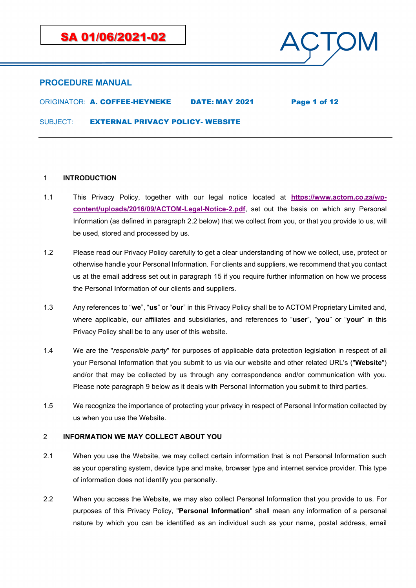

ORIGINATOR: A. COFFEE-HEYNEKE DATE: MAY 2021 Page 1 of 12

SUBJECT: **EXTERNAL PRIVACY POLICY- WEBSITE** 

### 1 **INTRODUCTION**

- 1.1 This Privacy Policy, together with our legal notice located at **[https://www.actom.co.za/wp](https://www.actom.co.za/wp-content/uploads/2016/09/ACTOM-Legal-Notice-2.pdf)[content/uploads/2016/09/ACTOM-Legal-Notice-2.pdf](https://www.actom.co.za/wp-content/uploads/2016/09/ACTOM-Legal-Notice-2.pdf)**, set out the basis on which any Personal Information (as defined in paragraph [2.2](#page-0-0) below) that we collect from you, or that you provide to us, will be used, stored and processed by us.
- 1.2 Please read our Privacy Policy carefully to get a clear understanding of how we collect, use, protect or otherwise handle your Personal Information. For clients and suppliers, we recommend that you contact us at the email address set out in paragraph [15](#page-11-0) if you require further information on how we process the Personal Information of our clients and suppliers.
- 1.3 Any references to "**we**", "**us**" or "**our**" in this Privacy Policy shall be to ACTOM Proprietary Limited and, where applicable, our affiliates and subsidiaries, and references to "**user**", "**you**" or "**your**" in this Privacy Policy shall be to any user of this website.
- 1.4 We are the "*responsible party*" for purposes of applicable data protection legislation in respect of all your Personal Information that you submit to us via our website and other related URL's ("**Website**") and/or that may be collected by us through any correspondence and/or communication with you. Please note paragraph [9](#page-8-0) below as it deals with Personal Information you submit to third parties.
- 1.5 We recognize the importance of protecting your privacy in respect of Personal Information collected by us when you use the Website.

### 2 **INFORMATION WE MAY COLLECT ABOUT YOU**

- 2.1 When you use the Website, we may collect certain information that is not Personal Information such as your operating system, device type and make, browser type and internet service provider. This type of information does not identify you personally.
- <span id="page-0-0"></span>2.2 When you access the Website, we may also collect Personal Information that you provide to us. For purposes of this Privacy Policy, "**Personal Information**" shall mean any information of a personal nature by which you can be identified as an individual such as your name, postal address, email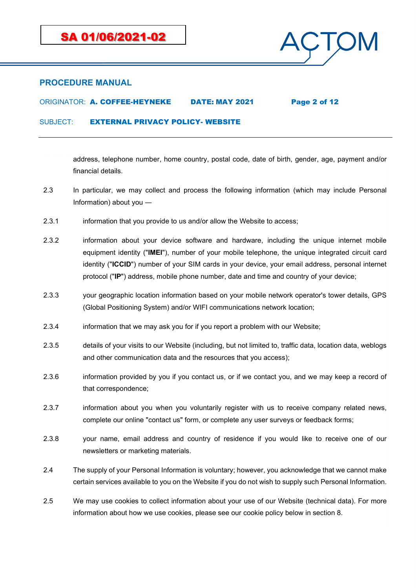

## ORIGINATOR: A. COFFEE-HEYNEKE DATE: MAY 2021 Page 2 of 12

SUBJECT: EXTERNAL PRIVACY POLICY- WEBSITE

address, telephone number, home country, postal code, date of birth, gender, age, payment and/or financial details.

- 2.3 In particular, we may collect and process the following information (which may include Personal Information) about you ―
- 2.3.1 information that you provide to us and/or allow the Website to access;
- 2.3.2 information about your device software and hardware, including the unique internet mobile equipment identity ("**IMEI**"), number of your mobile telephone, the unique integrated circuit card identity ("**ICCID**") number of your SIM cards in your device, your email address, personal internet protocol ("**IP**") address, mobile phone number, date and time and country of your device;
- 2.3.3 your geographic location information based on your mobile network operator's tower details, GPS (Global Positioning System) and/or WIFI communications network location;
- 2.3.4 information that we may ask you for if you report a problem with our Website;
- 2.3.5 details of your visits to our Website (including, but not limited to, traffic data, location data, weblogs and other communication data and the resources that you access);
- 2.3.6 information provided by you if you contact us, or if we contact you, and we may keep a record of that correspondence;
- 2.3.7 information about you when you voluntarily register with us to receive company related news, complete our online "contact us" form, or complete any user surveys or feedback forms;
- 2.3.8 your name, email address and country of residence if you would like to receive one of our newsletters or marketing materials.
- 2.4 The supply of your Personal Information is voluntary; however, you acknowledge that we cannot make certain services available to you on the Website if you do not wish to supply such Personal Information.
- 2.5 We may use cookies to collect information about your use of our Website (technical data). For more information about how we use cookies, please see our cookie policy below in section [8.](#page-7-0)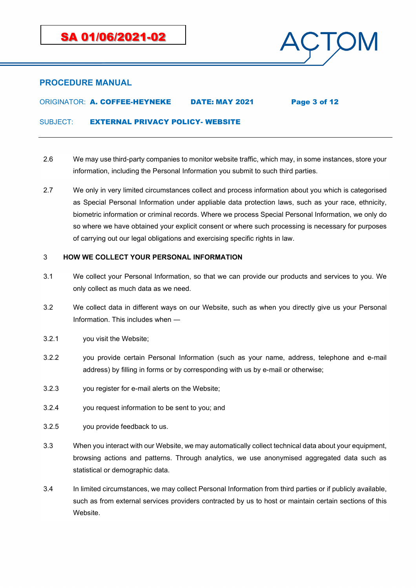

ORIGINATOR: A. COFFEE-HEYNEKE DATE: MAY 2021 Page 3 of 12

SUBJECT: EXTERNAL PRIVACY POLICY- WEBSITE

- 2.6 We may use third-party companies to monitor website traffic, which may, in some instances, store your information, including the Personal Information you submit to such third parties.
- 2.7 We only in very limited circumstances collect and process information about you which is categorised as Special Personal Information under appliable data protection laws, such as your race, ethnicity, biometric information or criminal records. Where we process Special Personal Information, we only do so where we have obtained your explicit consent or where such processing is necessary for purposes of carrying out our legal obligations and exercising specific rights in law.

#### 3 **HOW WE COLLECT YOUR PERSONAL INFORMATION**

- 3.1 We collect your Personal Information, so that we can provide our products and services to you. We only collect as much data as we need.
- 3.2 We collect data in different ways on our Website, such as when you directly give us your Personal Information. This includes when ―
- 3.2.1 you visit the Website;
- 3.2.2 you provide certain Personal Information (such as your name, address, telephone and e-mail address) by filling in forms or by corresponding with us by e-mail or otherwise;
- 3.2.3 you register for e-mail alerts on the Website;
- 3.2.4 you request information to be sent to you; and
- 3.2.5 you provide feedback to us.
- 3.3 When you interact with our Website, we may automatically collect technical data about your equipment, browsing actions and patterns. Through analytics, we use anonymised aggregated data such as statistical or demographic data.
- 3.4 In limited circumstances, we may collect Personal Information from third parties or if publicly available, such as from external services providers contracted by us to host or maintain certain sections of this Website.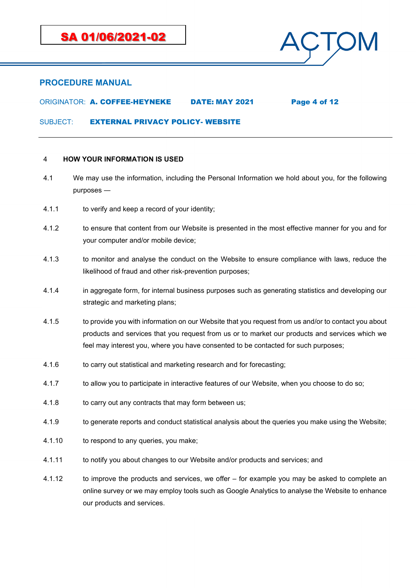

## ORIGINATOR: A. COFFEE-HEYNEKE DATE: MAY 2021 Page 4 of 12

SUBJECT: EXTERNAL PRIVACY POLICY- WEBSITE

#### <span id="page-3-0"></span>4 **HOW YOUR INFORMATION IS USED**

- 4.1 We may use the information, including the Personal Information we hold about you, for the following purposes ―
- 4.1.1 to verify and keep a record of your identity;
- 4.1.2 to ensure that content from our Website is presented in the most effective manner for you and for your computer and/or mobile device;
- 4.1.3 to monitor and analyse the conduct on the Website to ensure compliance with laws, reduce the likelihood of fraud and other risk-prevention purposes;
- 4.1.4 in aggregate form, for internal business purposes such as generating statistics and developing our strategic and marketing plans;
- 4.1.5 to provide you with information on our Website that you request from us and/or to contact you about products and services that you request from us or to market our products and services which we feel may interest you, where you have consented to be contacted for such purposes;
- 4.1.6 to carry out statistical and marketing research and for forecasting;
- 4.1.7 to allow you to participate in interactive features of our Website, when you choose to do so;
- 4.1.8 to carry out any contracts that may form between us;
- 4.1.9 to generate reports and conduct statistical analysis about the queries you make using the Website;
- 4.1.10 to respond to any queries, you make;
- 4.1.11 to notify you about changes to our Website and/or products and services; and
- 4.1.12 to improve the products and services, we offer for example you may be asked to complete an online survey or we may employ tools such as Google Analytics to analyse the Website to enhance our products and services.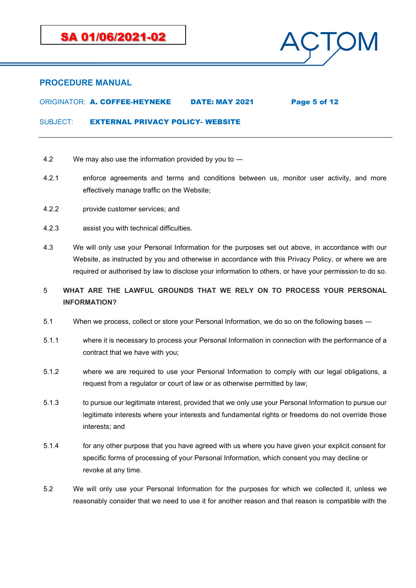

## ORIGINATOR: A. COFFEE-HEYNEKE DATE: MAY 2021 Page 5 of 12

SUBJECT: **EXTERNAL PRIVACY POLICY- WEBSITE** 

- 4.2 We may also use the information provided by you to ―
- 4.2.1 enforce agreements and terms and conditions between us, monitor user activity, and more effectively manage traffic on the Website;
- 4.2.2 provide customer services; and
- 4.2.3 assist you with technical difficulties.
- 4.3 We will only use your Personal Information for the purposes set out above, in accordance with our Website, as instructed by you and otherwise in accordance with this Privacy Policy, or where we are required or authorised by law to disclose your information to others, or have your permission to do so.

## 5 **WHAT ARE THE LAWFUL GROUNDS THAT WE RELY ON TO PROCESS YOUR PERSONAL INFORMATION?**

- 5.1 When we process, collect or store your Personal Information, we do so on the following bases ―
- 5.1.1 where it is necessary to process your Personal Information in connection with the performance of a contract that we have with you;
- 5.1.2 where we are required to use your Personal Information to comply with our legal obligations, a request from a regulator or court of law or as otherwise permitted by law;
- 5.1.3 to pursue our legitimate interest, provided that we only use your Personal Information to pursue our legitimate interests where your interests and fundamental rights or freedoms do not override those interests; and
- 5.1.4 for any other purpose that you have agreed with us where you have given your explicit consent for specific forms of processing of your Personal Information, which consent you may decline or revoke at any time.
- 5.2 We will only use your Personal Information for the purposes for which we collected it, unless we reasonably consider that we need to use it for another reason and that reason is compatible with the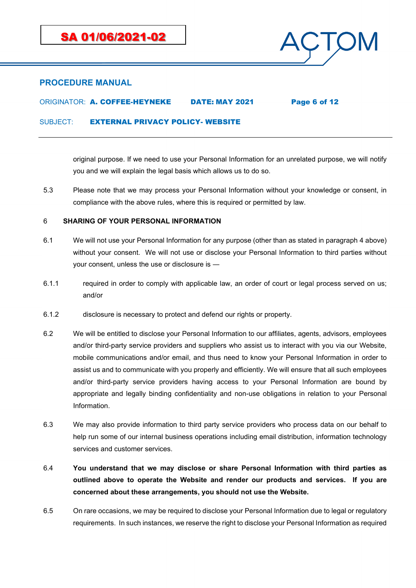

## ORIGINATOR: A. COFFEE-HEYNEKE DATE: MAY 2021 Page 6 of 12

SUBJECT: EXTERNAL PRIVACY POLICY- WEBSITE

original purpose. If we need to use your Personal Information for an unrelated purpose, we will notify you and we will explain the legal basis which allows us to do so.

5.3 Please note that we may process your Personal Information without your knowledge or consent, in compliance with the above rules, where this is required or permitted by law.

### 6 **SHARING OF YOUR PERSONAL INFORMATION**

- 6.1 We will not use your Personal Information for any purpose (other than as stated in paragraph [4](#page-3-0) above) without your consent. We will not use or disclose your Personal Information to third parties without your consent, unless the use or disclosure is ―
- 6.1.1 required in order to comply with applicable law, an order of court or legal process served on us; and/or
- 6.1.2 disclosure is necessary to protect and defend our rights or property.
- 6.2 We will be entitled to disclose your Personal Information to our affiliates, agents, advisors, employees and/or third-party service providers and suppliers who assist us to interact with you via our Website, mobile communications and/or email, and thus need to know your Personal Information in order to assist us and to communicate with you properly and efficiently. We will ensure that all such employees and/or third-party service providers having access to your Personal Information are bound by appropriate and legally binding confidentiality and non-use obligations in relation to your Personal Information.
- 6.3 We may also provide information to third party service providers who process data on our behalf to help run some of our internal business operations including email distribution, information technology services and customer services.
- 6.4 **You understand that we may disclose or share Personal Information with third parties as outlined above to operate the Website and render our products and services. If you are concerned about these arrangements, you should not use the Website.**
- 6.5 On rare occasions, we may be required to disclose your Personal Information due to legal or regulatory requirements. In such instances, we reserve the right to disclose your Personal Information as required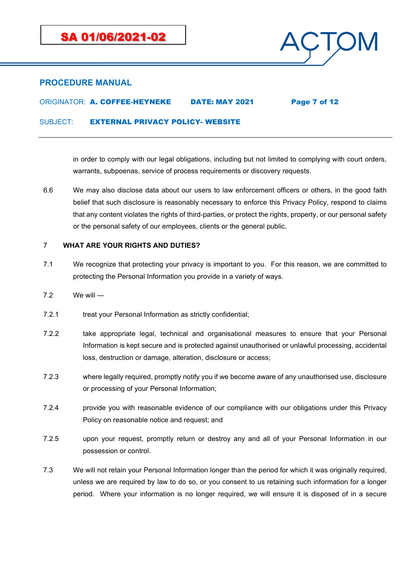

ORIGINATOR: A. COFFEE-HEYNEKE DATE: MAY 2021 Page 7 of 12

SUBJECT: EXTERNAL PRIVACY POLICY- WEBSITE

in order to comply with our legal obligations, including but not limited to complying with court orders, warrants, subpoenas, service of process requirements or discovery requests.

6.6 We may also disclose data about our users to law enforcement officers or others, in the good faith belief that such disclosure is reasonably necessary to enforce this Privacy Policy, respond to claims that any content violates the rights of third-parties, or protect the rights, property, or our personal safety or the personal safety of our employees, clients or the general public.

### 7 **WHAT ARE YOUR RIGHTS AND DUTIES?**

- 7.1 We recognize that protecting your privacy is important to you. For this reason, we are committed to protecting the Personal Information you provide in a variety of ways.
- 7.2 We will ―
- 7.2.1 treat your Personal Information as strictly confidential;
- 7.2.2 take appropriate legal, technical and organisational measures to ensure that your Personal Information is kept secure and is protected against unauthorised or unlawful processing, accidental loss, destruction or damage, alteration, disclosure or access;
- 7.2.3 where legally required, promptly notify you if we become aware of any unauthorised use, disclosure or processing of your Personal Information;
- 7.2.4 provide you with reasonable evidence of our compliance with our obligations under this Privacy Policy on reasonable notice and request; and
- 7.2.5 upon your request, promptly return or destroy any and all of your Personal Information in our possession or control.
- 7.3 We will not retain your Personal Information longer than the period for which it was originally required, unless we are required by law to do so, or you consent to us retaining such information for a longer period. Where your information is no longer required, we will ensure it is disposed of in a secure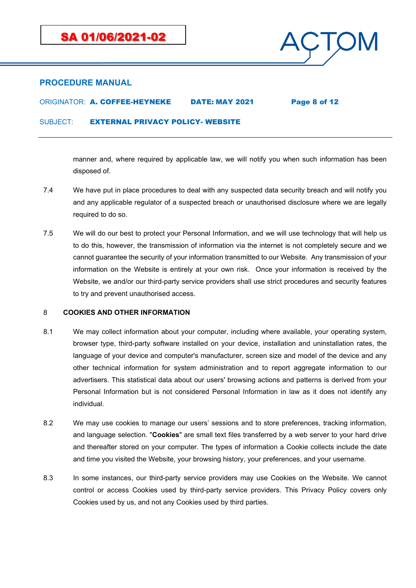

# ORIGINATOR: A. COFFEE-HEYNEKE DATE: MAY 2021 Page 8 of 12

SUBJECT: **EXTERNAL PRIVACY POLICY- WEBSITE** 

manner and, where required by applicable law, we will notify you when such information has been disposed of.

- 7.4 We have put in place procedures to deal with any suspected data security breach and will notify you and any applicable regulator of a suspected breach or unauthorised disclosure where we are legally required to do so.
- 7.5 We will do our best to protect your Personal Information, and we will use technology that will help us to do this, however, the transmission of information via the internet is not completely secure and we cannot guarantee the security of your information transmitted to our Website. Any transmission of your information on the Website is entirely at your own risk. Once your information is received by the Website, we and/or our third-party service providers shall use strict procedures and security features to try and prevent unauthorised access.

## <span id="page-7-0"></span>8 **COOKIES AND OTHER INFORMATION**

- 8.1 We may collect information about your computer, including where available, your operating system, browser type, third-party software installed on your device, installation and uninstallation rates, the language of your device and computer's manufacturer, screen size and model of the device and any other technical information for system administration and to report aggregate information to our advertisers. This statistical data about our users' browsing actions and patterns is derived from your Personal Information but is not considered Personal Information in law as it does not identify any individual.
- 8.2 We may use cookies to manage our users' sessions and to store preferences, tracking information, and language selection. "**Cookies**" are small text files transferred by a web server to your hard drive and thereafter stored on your computer. The types of information a Cookie collects include the date and time you visited the Website, your browsing history, your preferences, and your username.
- 8.3 In some instances, our third-party service providers may use Cookies on the Website. We cannot control or access Cookies used by third-party service providers. This Privacy Policy covers only Cookies used by us, and not any Cookies used by third parties.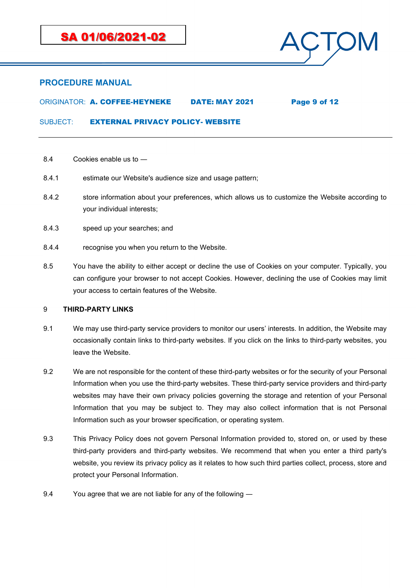

## ORIGINATOR: A. COFFEE-HEYNEKE DATE: MAY 2021 Page 9 of 12

SUBJECT: EXTERNAL PRIVACY POLICY- WEBSITE

- 8.4 Cookies enable us to ―
- 8.4.1 estimate our Website's audience size and usage pattern;
- 8.4.2 store information about your preferences, which allows us to customize the Website according to your individual interests;
- 8.4.3 speed up your searches; and
- 8.4.4 recognise you when you return to the Website.
- 8.5 You have the ability to either accept or decline the use of Cookies on your computer. Typically, you can configure your browser to not accept Cookies. However, declining the use of Cookies may limit your access to certain features of the Website.

### <span id="page-8-0"></span>9 **THIRD-PARTY LINKS**

- 9.1 We may use third-party service providers to monitor our users' interests. In addition, the Website may occasionally contain links to third-party websites. If you click on the links to third-party websites, you leave the Website.
- 9.2 We are not responsible for the content of these third-party websites or for the security of your Personal Information when you use the third-party websites. These third-party service providers and third-party websites may have their own privacy policies governing the storage and retention of your Personal Information that you may be subject to. They may also collect information that is not Personal Information such as your browser specification, or operating system.
- 9.3 This Privacy Policy does not govern Personal Information provided to, stored on, or used by these third-party providers and third-party websites. We recommend that when you enter a third party's website, you review its privacy policy as it relates to how such third parties collect, process, store and protect your Personal Information.
- 9.4 You agree that we are not liable for any of the following ―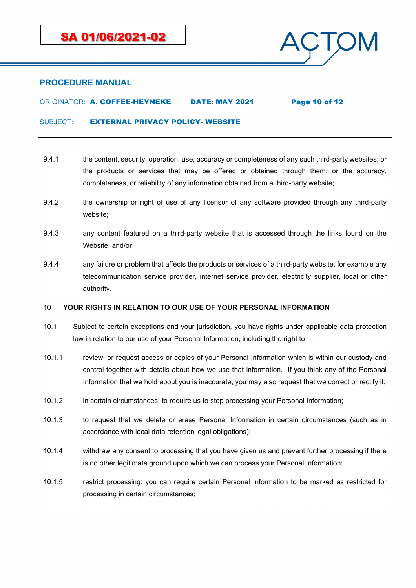

## ORIGINATOR: A. COFFEE-HEYNEKE DATE: MAY 2021 Page 10 of 12

SUBJECT: EXTERNAL PRIVACY POLICY- WEBSITE

- 9.4.1 the content, security, operation, use, accuracy or completeness of any such third-party websites; or the products or services that may be offered or obtained through them; or the accuracy, completeness, or reliability of any information obtained from a third-party website;
- 9.4.2 the ownership or right of use of any licensor of any software provided through any third-party website;
- 9.4.3 any content featured on a third-party website that is accessed through the links found on the Website; and/or
- 9.4.4 any failure or problem that affects the products or services of a third-party website, for example any telecommunication service provider, internet service provider, electricity supplier, local or other authority.

### 10 **YOUR RIGHTS IN RELATION TO OUR USE OF YOUR PERSONAL INFORMATION**

- 10.1 Subject to certain exceptions and your jurisdiction, you have rights under applicable data protection law in relation to our use of your Personal Information, including the right to ―
- 10.1.1 review, or request access or copies of your Personal Information which is within our custody and control together with details about how we use that information. If you think any of the Personal Information that we hold about you is inaccurate, you may also request that we correct or rectify it;
- 10.1.2 in certain circumstances, to require us to stop processing your Personal Information;
- 10.1.3 to request that we delete or erase Personal Information in certain circumstances (such as in accordance with local data retention legal obligations);
- 10.1.4 withdraw any consent to processing that you have given us and prevent further processing if there is no other legitimate ground upon which we can process your Personal Information;
- 10.1.5 restrict processing: you can require certain Personal Information to be marked as restricted for processing in certain circumstances;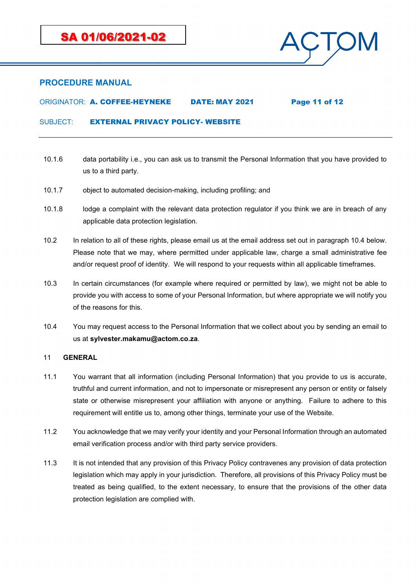

## ORIGINATOR: A. COFFEE-HEYNEKE DATE: MAY 2021 Page 11 of 12

SUBJECT: EXTERNAL PRIVACY POLICY- WEBSITE

- 10.1.6 data portability i.e., you can ask us to transmit the Personal Information that you have provided to us to a third party.
- 10.1.7 object to automated decision-making, including profiling; and
- 10.1.8 lodge a complaint with the relevant data protection regulator if you think we are in breach of any applicable data protection legislation.
- 10.2 In relation to all of these rights, please email us at the email address set out in paragraph [10.4](#page-10-0) below. Please note that we may, where permitted under applicable law, charge a small administrative fee and/or request proof of identity. We will respond to your requests within all applicable timeframes.
- 10.3 In certain circumstances (for example where required or permitted by law), we might not be able to provide you with access to some of your Personal Information, but where appropriate we will notify you of the reasons for this.
- <span id="page-10-0"></span>10.4 You may request access to the Personal Information that we collect about you by sending an email to us at **sylvester.makamu@actom.co.za**.

### 11 **GENERAL**

- 11.1 You warrant that all information (including Personal Information) that you provide to us is accurate, truthful and current information, and not to impersonate or misrepresent any person or entity or falsely state or otherwise misrepresent your affiliation with anyone or anything. Failure to adhere to this requirement will entitle us to, among other things, terminate your use of the Website.
- 11.2 You acknowledge that we may verify your identity and your Personal Information through an automated email verification process and/or with third party service providers.
- 11.3 It is not intended that any provision of this Privacy Policy contravenes any provision of data protection legislation which may apply in your jurisdiction. Therefore, all provisions of this Privacy Policy must be treated as being qualified, to the extent necessary, to ensure that the provisions of the other data protection legislation are complied with.